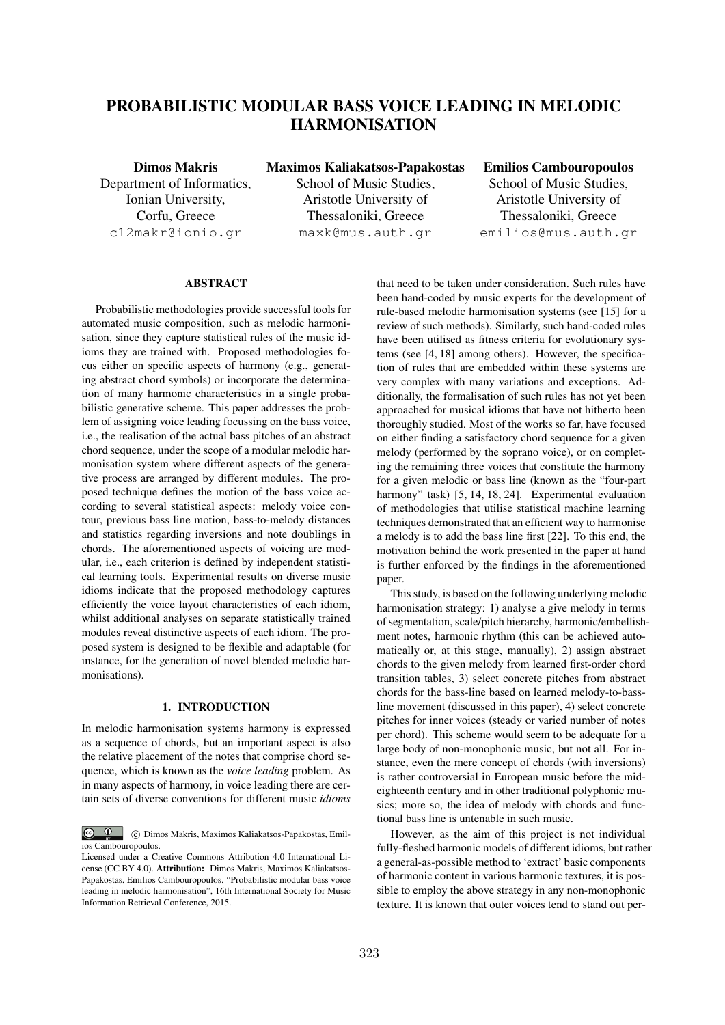# PROBABILISTIC MODULAR BASS VOICE LEADING IN MELODIC HARMONISATION

Dimos Makris Department of Informatics, Ionian University, Corfu, Greece c12makr@ionio.gr

Maximos Kaliakatsos-Papakostas School of Music Studies, Aristotle University of Thessaloniki, Greece maxk@mus.auth.gr

Emilios Cambouropoulos School of Music Studies, Aristotle University of Thessaloniki, Greece emilios@mus.auth.gr

# ABSTRACT

Probabilistic methodologies provide successful tools for automated music composition, such as melodic harmonisation, since they capture statistical rules of the music idioms they are trained with. Proposed methodologies focus either on specific aspects of harmony (e.g., generating abstract chord symbols) or incorporate the determination of many harmonic characteristics in a single probabilistic generative scheme. This paper addresses the problem of assigning voice leading focussing on the bass voice, i.e., the realisation of the actual bass pitches of an abstract chord sequence, under the scope of a modular melodic harmonisation system where different aspects of the generative process are arranged by different modules. The proposed technique defines the motion of the bass voice according to several statistical aspects: melody voice contour, previous bass line motion, bass-to-melody distances and statistics regarding inversions and note doublings in chords. The aforementioned aspects of voicing are modular, i.e., each criterion is defined by independent statistical learning tools. Experimental results on diverse music idioms indicate that the proposed methodology captures efficiently the voice layout characteristics of each idiom, whilst additional analyses on separate statistically trained modules reveal distinctive aspects of each idiom. The proposed system is designed to be flexible and adaptable (for instance, for the generation of novel blended melodic harmonisations).

#### 1. INTRODUCTION

In melodic harmonisation systems harmony is expressed as a sequence of chords, but an important aspect is also the relative placement of the notes that comprise chord sequence, which is known as the *voice leading* problem. As in many aspects of harmony, in voice leading there are certain sets of diverse conventions for different music *idioms*

that need to be taken under consideration. Such rules have been hand-coded by music experts for the development of rule-based melodic harmonisation systems (see [15] for a review of such methods). Similarly, such hand-coded rules have been utilised as fitness criteria for evolutionary systems (see [4, 18] among others). However, the specification of rules that are embedded within these systems are very complex with many variations and exceptions. Additionally, the formalisation of such rules has not yet been approached for musical idioms that have not hitherto been thoroughly studied. Most of the works so far, have focused on either finding a satisfactory chord sequence for a given melody (performed by the soprano voice), or on completing the remaining three voices that constitute the harmony for a given melodic or bass line (known as the "four-part harmony" task) [5, 14, 18, 24]. Experimental evaluation of methodologies that utilise statistical machine learning techniques demonstrated that an efficient way to harmonise a melody is to add the bass line first [22]. To this end, the motivation behind the work presented in the paper at hand is further enforced by the findings in the aforementioned paper.

This study, is based on the following underlying melodic harmonisation strategy: 1) analyse a give melody in terms of segmentation, scale/pitch hierarchy, harmonic/embellishment notes, harmonic rhythm (this can be achieved automatically or, at this stage, manually), 2) assign abstract chords to the given melody from learned first-order chord transition tables, 3) select concrete pitches from abstract chords for the bass-line based on learned melody-to-bassline movement (discussed in this paper), 4) select concrete pitches for inner voices (steady or varied number of notes per chord). This scheme would seem to be adequate for a large body of non-monophonic music, but not all. For instance, even the mere concept of chords (with inversions) is rather controversial in European music before the mideighteenth century and in other traditional polyphonic musics; more so, the idea of melody with chords and functional bass line is untenable in such music.

However, as the aim of this project is not individual fully-fleshed harmonic models of different idioms, but rather a general-as-possible method to 'extract' basic components of harmonic content in various harmonic textures, it is possible to employ the above strategy in any non-monophonic texture. It is known that outer voices tend to stand out per-

 $\circ$   $\circ$ c Dimos Makris, Maximos Kaliakatsos-Papakostas, Emilios Cambouropoulos.

Licensed under a Creative Commons Attribution 4.0 International License (CC BY 4.0). Attribution: Dimos Makris, Maximos Kaliakatsos-Papakostas, Emilios Cambouropoulos. "Probabilistic modular bass voice leading in melodic harmonisation", 16th International Society for Music Information Retrieval Conference, 2015.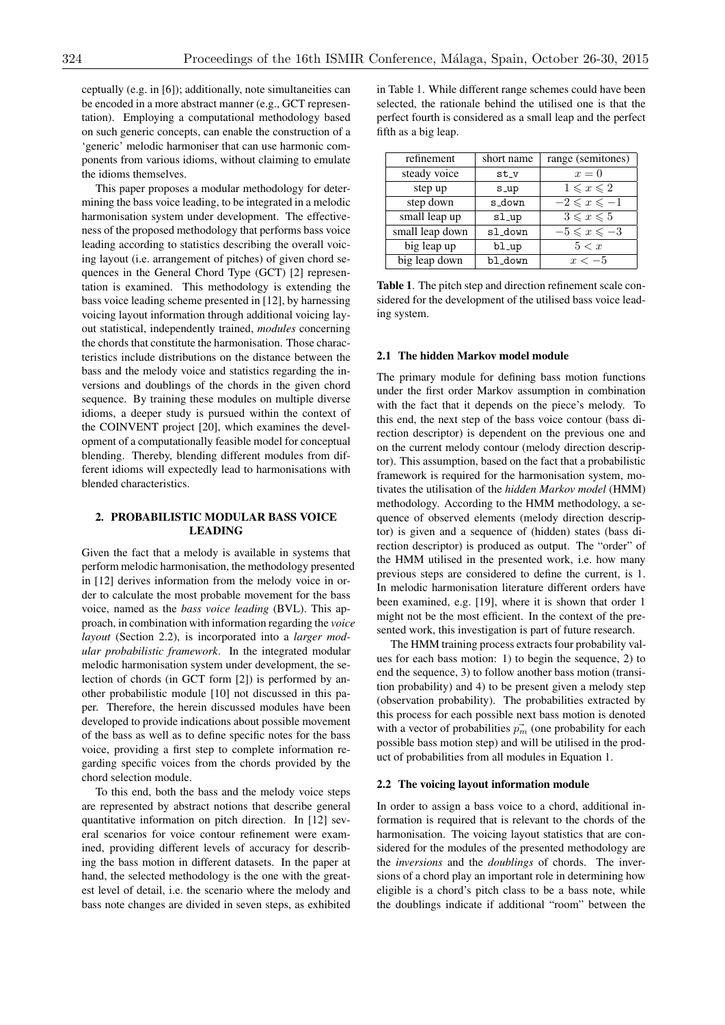ceptually (e.g. in [6]); additionally, note simultaneities can be encoded in a more abstract manner (e.g., GCT representation). Employing a computational methodology based on such generic concepts, can enable the construction of a 'generic' melodic harmoniser that can use harmonic components from various idioms, without claiming to emulate the idioms themselves.

This paper proposes a modular methodology for determining the bass voice leading, to be integrated in a melodic harmonisation system under development. The effectiveness of the proposed methodology that performs bass voice leading according to statistics describing the overall voicing layout (i.e. arrangement of pitches) of given chord sequences in the General Chord Type (GCT) [2] representation is examined. This methodology is extending the bass voice leading scheme presented in [12], by harnessing voicing layout information through additional voicing layout statistical, independently trained, *modules* concerning the chords that constitute the harmonisation. Those characteristics include distributions on the distance between the bass and the melody voice and statistics regarding the inversions and doublings of the chords in the given chord sequence. By training these modules on multiple diverse idioms, a deeper study is pursued within the context of the COINVENT project [20], which examines the development of a computationally feasible model for conceptual blending. Thereby, blending different modules from different idioms will expectedly lead to harmonisations with blended characteristics.

# 2. PROBABILISTIC MODULAR BASS VOICE LEADING

Given the fact that a melody is available in systems that perform melodic harmonisation, the methodology presented in [12] derives information from the melody voice in order to calculate the most probable movement for the bass voice, named as the *bass voice leading* (BVL). This approach, in combination with information regarding the *voice layout* (Section 2.2), is incorporated into a *larger modular probabilistic framework*. In the integrated modular melodic harmonisation system under development, the selection of chords (in GCT form [2]) is performed by another probabilistic module [10] not discussed in this paper. Therefore, the herein discussed modules have been developed to provide indications about possible movement of the bass as well as to define specific notes for the bass voice, providing a first step to complete information regarding specific voices from the chords provided by the chord selection module.

To this end, both the bass and the melody voice steps are represented by abstract notions that describe general quantitative information on pitch direction. In [12] several scenarios for voice contour refinement were examined, providing different levels of accuracy for describing the bass motion in different datasets. In the paper at hand, the selected methodology is the one with the greatest level of detail, i.e. the scenario where the melody and bass note changes are divided in seven steps, as exhibited in Table 1. While different range schemes could have been selected, the rationale behind the utilised one is that the perfect fourth is considered as a small leap and the perfect fifth as a big leap.

| refinement      | short name | range (semitones)             |  |
|-----------------|------------|-------------------------------|--|
| steady voice    | st_v       | $x=0$                         |  |
| step up         | $s$ _up    | $1\leqslant x\leqslant 2$     |  |
| step down       | s_down     | $-2 \leqslant x \leqslant -1$ |  |
| small leap up   | $sl$ -up   | $3 \leqslant x \leqslant 5$   |  |
| small leap down | sl_down    | $-5 \leqslant x \leqslant -3$ |  |
| big leap up     | bl_up      | 5 < x                         |  |
| big leap down   | bl_down    | $x < -5$                      |  |

Table 1. The pitch step and direction refinement scale considered for the development of the utilised bass voice leading system.

## 2.1 The hidden Markov model module

The primary module for defining bass motion functions under the first order Markov assumption in combination with the fact that it depends on the piece's melody. To this end, the next step of the bass voice contour (bass direction descriptor) is dependent on the previous one and on the current melody contour (melody direction descriptor). This assumption, based on the fact that a probabilistic framework is required for the harmonisation system, motivates the utilisation of the *hidden Markov model* (HMM) methodology. According to the HMM methodology, a sequence of observed elements (melody direction descriptor) is given and a sequence of (hidden) states (bass direction descriptor) is produced as output. The "order" of the HMM utilised in the presented work, i.e. how many previous steps are considered to define the current, is 1. In melodic harmonisation literature different orders have been examined, e.g. [19], where it is shown that order 1 might not be the most efficient. In the context of the presented work, this investigation is part of future research.

The HMM training process extracts four probability values for each bass motion: 1) to begin the sequence, 2) to end the sequence, 3) to follow another bass motion (transition probability) and 4) to be present given a melody step (observation probability). The probabilities extracted by this process for each possible next bass motion is denoted with a vector of probabilities  $\vec{p_m}$  (one probability for each possible bass motion step) and will be utilised in the product of probabilities from all modules in Equation 1.

#### 2.2 The voicing layout information module

In order to assign a bass voice to a chord, additional information is required that is relevant to the chords of the harmonisation. The voicing layout statistics that are considered for the modules of the presented methodology are the *inversions* and the *doublings* of chords. The inversions of a chord play an important role in determining how eligible is a chord's pitch class to be a bass note, while the doublings indicate if additional "room" between the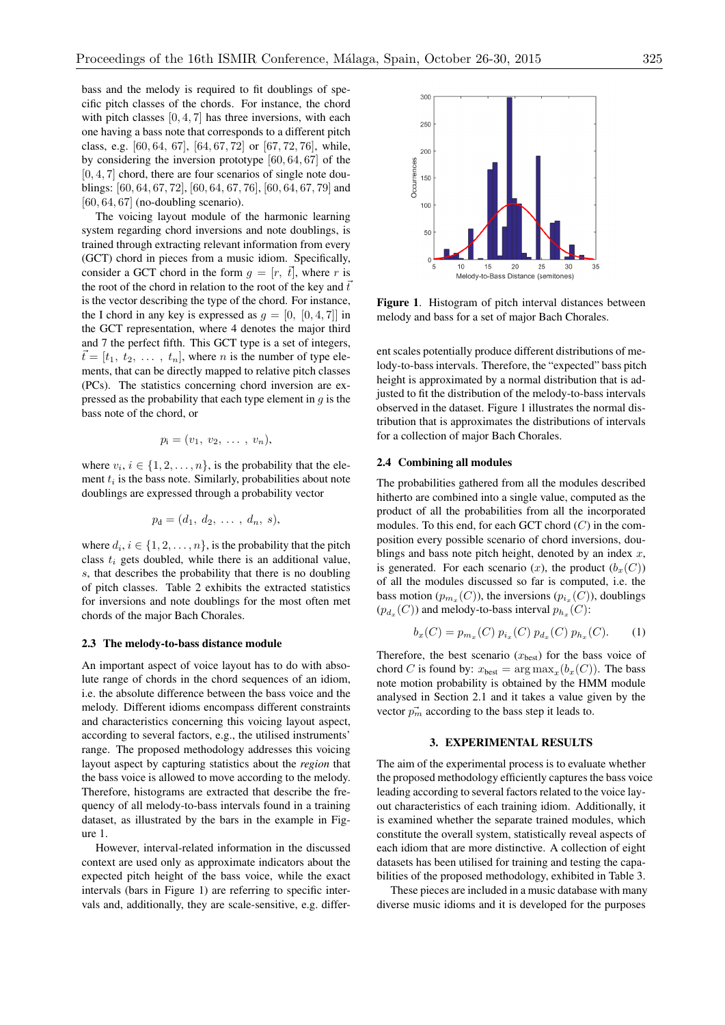bass and the melody is required to fit doublings of specific pitch classes of the chords. For instance, the chord with pitch classes [0*,* 4*,* 7] has three inversions, with each one having a bass note that corresponds to a different pitch class, e.g. [60*,* 64*,* 67], [64*,* 67*,* 72] or [67*,* 72*,* 76], while, by considering the inversion prototype [60*,* 64*,* 67] of the [0*,* 4*,* 7] chord, there are four scenarios of single note doublings: [60*,* 64*,* 67*,* 72], [60*,* 64*,* 67*,* 76], [60*,* 64*,* 67*,* 79] and [60*,* 64*,* 67] (no-doubling scenario).

The voicing layout module of the harmonic learning system regarding chord inversions and note doublings, is trained through extracting relevant information from every (GCT) chord in pieces from a music idiom. Specifically, consider a GCT chord in the form  $g = [r, \bar{t}]$ , where *r* is the root of the chord in relation to the root of the key and  $\bar{t}$ is the vector describing the type of the chord. For instance, the I chord in any key is expressed as  $q = [0, [0, 4, 7]]$  in the GCT representation, where 4 denotes the major third and 7 the perfect fifth. This GCT type is a set of integers,  $\vec{t} = [t_1, t_2, \ldots, t_n]$ , where *n* is the number of type elements, that can be directly mapped to relative pitch classes (PCs). The statistics concerning chord inversion are expressed as the probability that each type element in *g* is the bass note of the chord, or

$$
p_i=(v_1, v_2, \ldots, v_n),
$$

where  $v_i$ ,  $i \in \{1, 2, ..., n\}$ , is the probability that the element  $t_i$  is the bass note. Similarly, probabilities about note doublings are expressed through a probability vector

$$
p_{\rm d}=(d_1, d_2, \ldots, d_n, s),
$$

where  $d_i$ ,  $i \in \{1, 2, \ldots, n\}$ , is the probability that the pitch class *t<sup>i</sup>* gets doubled, while there is an additional value, *s*, that describes the probability that there is no doubling of pitch classes. Table 2 exhibits the extracted statistics for inversions and note doublings for the most often met chords of the major Bach Chorales.

#### 2.3 The melody-to-bass distance module

An important aspect of voice layout has to do with absolute range of chords in the chord sequences of an idiom, i.e. the absolute difference between the bass voice and the melody. Different idioms encompass different constraints and characteristics concerning this voicing layout aspect, according to several factors, e.g., the utilised instruments' range. The proposed methodology addresses this voicing layout aspect by capturing statistics about the *region* that the bass voice is allowed to move according to the melody. Therefore, histograms are extracted that describe the frequency of all melody-to-bass intervals found in a training dataset, as illustrated by the bars in the example in Figure 1.

However, interval-related information in the discussed context are used only as approximate indicators about the expected pitch height of the bass voice, while the exact intervals (bars in Figure 1) are referring to specific intervals and, additionally, they are scale-sensitive, e.g. differ-



Figure 1. Histogram of pitch interval distances between melody and bass for a set of major Bach Chorales.

ent scales potentially produce different distributions of melody-to-bass intervals. Therefore, the "expected" bass pitch height is approximated by a normal distribution that is adjusted to fit the distribution of the melody-to-bass intervals observed in the dataset. Figure 1 illustrates the normal distribution that is approximates the distributions of intervals for a collection of major Bach Chorales.

# 2.4 Combining all modules

The probabilities gathered from all the modules described hitherto are combined into a single value, computed as the product of all the probabilities from all the incorporated modules. To this end, for each GCT chord (*C*) in the composition every possible scenario of chord inversions, doublings and bass note pitch height, denoted by an index *x*, is generated. For each scenario  $(x)$ , the product  $(b_x(C))$ of all the modules discussed so far is computed, i.e. the bass motion  $(p_{m_x}(C))$ , the inversions  $(p_{i_x}(C))$ , doublings  $(p_{d_x}(C))$  and melody-to-bass interval  $p_{h_x}(C)$ :

$$
b_x(C) = p_{m_x}(C) p_{i_x}(C) p_{d_x}(C) p_{h_x}(C).
$$
 (1)

Therefore, the best scenario  $(x<sub>best</sub>)$  for the bass voice of chord *C* is found by:  $x_{\text{best}} = \arg \max_{x} (b_x(C))$ . The bass note motion probability is obtained by the HMM module analysed in Section 2.1 and it takes a value given by the vector  $\vec{p_m}$  according to the bass step it leads to.

# 3. EXPERIMENTAL RESULTS

The aim of the experimental process is to evaluate whether the proposed methodology efficiently captures the bass voice leading according to several factors related to the voice layout characteristics of each training idiom. Additionally, it is examined whether the separate trained modules, which constitute the overall system, statistically reveal aspects of each idiom that are more distinctive. A collection of eight datasets has been utilised for training and testing the capabilities of the proposed methodology, exhibited in Table 3.

These pieces are included in a music database with many diverse music idioms and it is developed for the purposes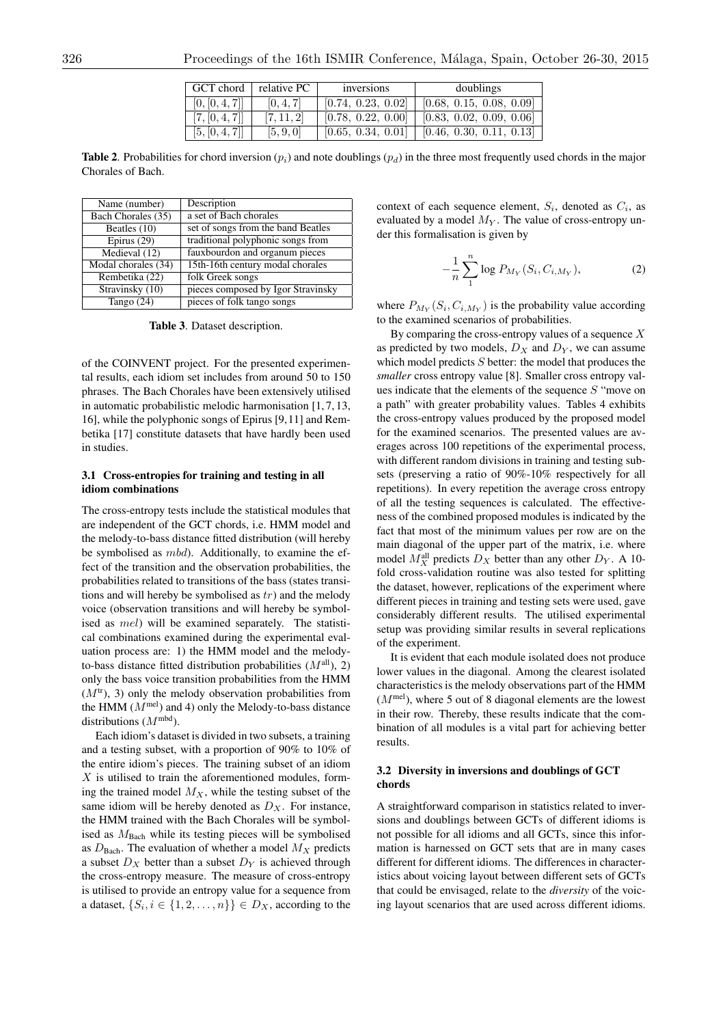| GCT chord      | relative PC | inversions         | doublings                |  |  |
|----------------|-------------|--------------------|--------------------------|--|--|
| [0, [0, 4, 7]] | [0, 4, 7]   | [0.74, 0.23, 0.02] | [0.68, 0.15, 0.08, 0.09] |  |  |
| [7, [0, 4, 7]] | [7, 11, 2]  | [0.78, 0.22, 0.00] | [0.83, 0.02, 0.09, 0.06] |  |  |
| [5, [0, 4, 7]] | [5, 9, 0]   | [0.65, 0.34, 0.01] | [0.46, 0.30, 0.11, 0.13] |  |  |

**Table 2.** Probabilities for chord inversion  $(p_i)$  and note doublings  $(p_d)$  in the three most frequently used chords in the major Chorales of Bach.

| Name (number)       | Description                        |
|---------------------|------------------------------------|
| Bach Chorales (35)  | a set of Bach chorales             |
| Beatles (10)        | set of songs from the band Beatles |
| Epirus $(29)$       | traditional polyphonic songs from  |
| Medieval (12)       | fauxbourdon and organum pieces     |
| Modal chorales (34) | 15th-16th century modal chorales   |
| Rembetika (22)      | folk Greek songs                   |
| Stravinsky (10)     | pieces composed by Igor Stravinsky |
| Tango $(24)$        | pieces of folk tango songs         |

Table 3. Dataset description.

of the COINVENT project. For the presented experimental results, each idiom set includes from around 50 to 150 phrases. The Bach Chorales have been extensively utilised in automatic probabilistic melodic harmonisation [1, 7, 13, 16], while the polyphonic songs of Epirus [9,11] and Rembetika [17] constitute datasets that have hardly been used in studies.

# 3.1 Cross-entropies for training and testing in all idiom combinations

The cross-entropy tests include the statistical modules that are independent of the GCT chords, i.e. HMM model and the melody-to-bass distance fitted distribution (will hereby be symbolised as *mbd*). Additionally, to examine the effect of the transition and the observation probabilities, the probabilities related to transitions of the bass (states transitions and will hereby be symbolised as *tr*) and the melody voice (observation transitions and will hereby be symbolised as *mel*) will be examined separately. The statistical combinations examined during the experimental evaluation process are: 1) the HMM model and the melodyto-bass distance fitted distribution probabilities (*M*all), 2) only the bass voice transition probabilities from the HMM  $(M<sup>tr</sup>)$ , 3) only the melody observation probabilities from the HMM  $(M^{mel})$  and 4) only the Melody-to-bass distance distributions ( $M^{\text{mbd}}$ ).

Each idiom's dataset is divided in two subsets, a training and a testing subset, with a proportion of 90% to 10% of the entire idiom's pieces. The training subset of an idiom *X* is utilised to train the aforementioned modules, forming the trained model  $M_X$ , while the testing subset of the same idiom will be hereby denoted as  $D_X$ . For instance, the HMM trained with the Bach Chorales will be symbolised as  $M<sub>Bach</sub>$  while its testing pieces will be symbolised as  $D_{\text{Bach}}$ . The evaluation of whether a model  $M_X$  predicts a subset  $D_X$  better than a subset  $D_Y$  is achieved through the cross-entropy measure. The measure of cross-entropy is utilised to provide an entropy value for a sequence from a dataset,  $\{S_i, i \in \{1, 2, \ldots, n\}\}\in D_X$ , according to the

context of each sequence element, *Si*, denoted as *Ci*, as evaluated by a model *M<sup>Y</sup>* . The value of cross-entropy under this formalisation is given by

$$
-\frac{1}{n}\sum_{1}^{n}\log P_{M_{Y}}(S_{i},C_{i,M_{Y}}),\tag{2}
$$

where  $P_{M_Y}(S_i, C_{i,M_Y})$  is the probability value according to the examined scenarios of probabilities.

By comparing the cross-entropy values of a sequence *X* as predicted by two models,  $D_X$  and  $D_Y$ , we can assume which model predicts *S* better: the model that produces the *smaller* cross entropy value [8]. Smaller cross entropy values indicate that the elements of the sequence *S* "move on a path" with greater probability values. Tables 4 exhibits the cross-entropy values produced by the proposed model for the examined scenarios. The presented values are averages across 100 repetitions of the experimental process, with different random divisions in training and testing subsets (preserving a ratio of 90%-10% respectively for all repetitions). In every repetition the average cross entropy of all the testing sequences is calculated. The effectiveness of the combined proposed modules is indicated by the fact that most of the minimum values per row are on the main diagonal of the upper part of the matrix, i.e. where model  $M_X^{\text{all}}$  predicts  $D_X$  better than any other  $D_Y$ . A 10fold cross-validation routine was also tested for splitting the dataset, however, replications of the experiment where different pieces in training and testing sets were used, gave considerably different results. The utilised experimental setup was providing similar results in several replications of the experiment.

It is evident that each module isolated does not produce lower values in the diagonal. Among the clearest isolated characteristics is the melody observations part of the HMM (*M*mel), where 5 out of 8 diagonal elements are the lowest in their row. Thereby, these results indicate that the combination of all modules is a vital part for achieving better results.

# 3.2 Diversity in inversions and doublings of GCT chords

A straightforward comparison in statistics related to inversions and doublings between GCTs of different idioms is not possible for all idioms and all GCTs, since this information is harnessed on GCT sets that are in many cases different for different idioms. The differences in characteristics about voicing layout between different sets of GCTs that could be envisaged, relate to the *diversity* of the voicing layout scenarios that are used across different idioms.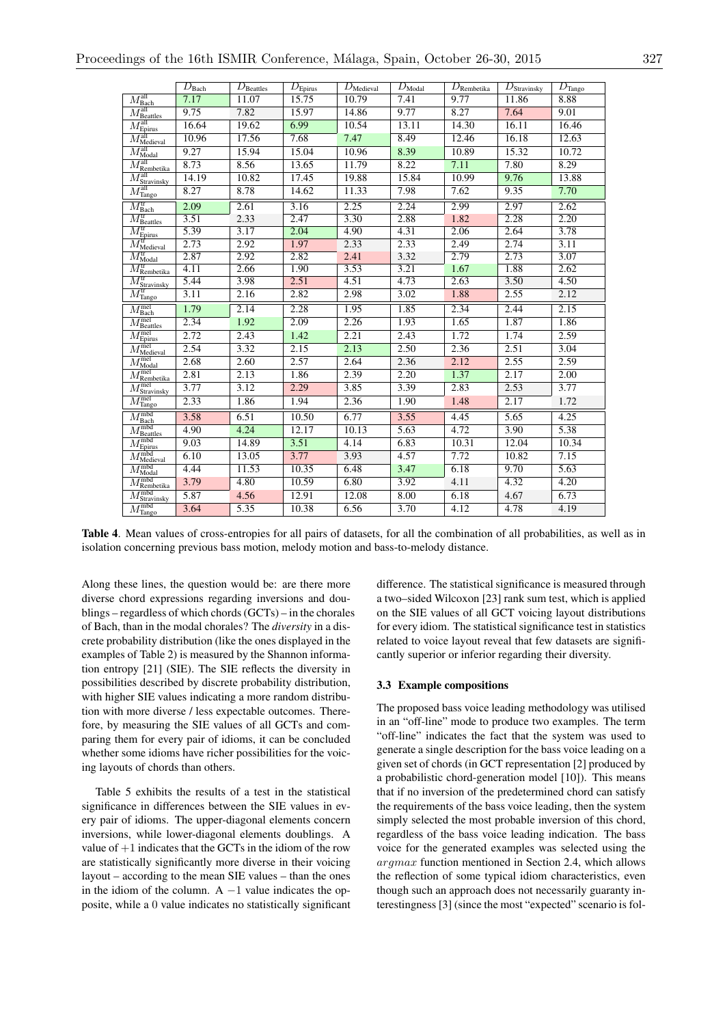|                                                 | $\overline{D_{\rm Bach}}$ | $\overline{D_{\text{Beattles}}}$ | $\overline{D_{\text{Epirus}}}$ | $\overline{D_{\text{Medieval}}}$ | $\overline{D_{\text{Modal}}}$ | $\overline{D_{\text{Rembetika}}}$ | $\overline{D_{\text{Stravinsky}}}$ | $\overline{D_{\text{Tango}}}$ |
|-------------------------------------------------|---------------------------|----------------------------------|--------------------------------|----------------------------------|-------------------------------|-----------------------------------|------------------------------------|-------------------------------|
| $M_{\rm Bach}^{\rm all}$                        | 7.17                      | 11.07                            | 15.75                          | 10.79                            | 7.41                          | 9.77                              | 11.86                              | 8.88                          |
| $M_{\rm Beatles}^{\rm all}$                     | 9.75                      | 7.82                             | 15.97                          | 14.86                            | 9.77                          | 8.27                              | 7.64                               | 9.01                          |
| $M_{\rm Epirus}^{\rm all}$                      | 16.64                     | 19.62                            | 6.99                           | 10.54                            | 13.11                         | 14.30                             | 16.11                              | 16.46                         |
| $\overline{M_{\text{Medieval}}^{\text{all}}}$   | 10.96                     | 17.56                            | 7.68                           | 7.47                             | 8.49                          | 12.46                             | 16.18                              | 12.63                         |
| $M_{\rm{Modal}}^{\rm{all}}$                     | 9.27                      | 15.94                            | 15.04                          | 10.96                            | 8.39                          | 10.89                             | 15.32                              | 10.72                         |
| $M_{\rm Rembetika}^{\rm all}$                   | 8.73                      | 8.56                             | 13.65                          | 11.79                            | 8.22                          | 7.11                              | 7.80                               | 8.29                          |
| $M^{\rm all}_{\rm Stravinsky}$                  | 14.19                     | 10.82                            | 17.45                          | 19.88                            | 15.84                         | 10.99                             | 9.76                               | 13.88                         |
| $M_{\rm Tango}^{\rm all}$                       | 8.27                      | 8.78                             | 14.62                          | 11.33                            | 7.98                          | 7.62                              | 9.35                               | 7.70                          |
| $M_{\rm Bach}^{\rm tr}$                         | 2.09                      | 2.61                             | 3.16                           | 2.25                             | 2.24                          | 2.99                              | 2.97                               | 2.62                          |
| $M_{\rm Beatles}^{\rm tr}$                      | 3.51                      | 2.33                             | 2.47                           | 3.30                             | 2.88                          | 1.82                              | 2.28                               | 2.20                          |
| $M_{\rm Epirus}^{\rm tr}$                       | $\overline{5.39}$         | 3.17                             | 2.04                           | 4.90                             | 4.31                          | 2.06                              | 2.64                               | 3.78                          |
| $M_{\text{Medieval}}^{\text{tr}}$               | 2.73                      | 2.92                             | 1.97                           | 2.33                             | 2.33                          | 2.49                              | 2.74                               | 3.11                          |
| $M^{\rm tr}_{\rm{Modal}}$                       | 2.87                      | 2.92                             | 2.82                           | 2.41                             | 3.32                          | 2.79                              | 2.73                               | 3.07                          |
| $M_{\text{Rembetika}}^{\text{tr}}$              | 4.11                      | 2.66                             | 1.90                           | 3.53                             | 3.21                          | 1.67                              | 1.88                               | 2.62                          |
| $M^{\text{tr}}_{\text{Stravinsky}}$             | 5.44                      | 3.98                             | 2.51                           | 4.51                             | 4.73                          | 2.63                              | 3.50                               | 4.50                          |
| $M^{\rm tr}_{\rm Tango}$                        | 3.11                      | 2.16                             | 2.82                           | 2.98                             | 3.02                          | 1.88                              | 2.55                               | 2.12                          |
| $M_{\rm Bach}^{\rm mel}$                        | 1.79                      | 2.14                             | 2.28                           | 1.95                             | 1.85                          | 2.34                              | 2.44                               | 2.15                          |
| $M_{\rm Beatles}^{\rm mel}$                     | 2.34                      | 1.92                             | 2.09                           | 2.26                             | 1.93                          | 1.65                              | 1.87                               | 1.86                          |
| $M_{\rm Epirus}^{\rm mel}$                      | 2.72                      | 2.43                             | 1.42                           | 2.21                             | 2.43                          | 1.72                              | 1.74                               | 2.59                          |
| $M_{\text{Medieval}}^{\text{mel}}$              | 2.54                      | 3.32                             | 2.15                           | 2.13                             | 2.50                          | 2.36                              | 2.51                               | 3.04                          |
| $M_{\rm{Modal}}^{\rm{mel}}$                     | 2.68                      | 2.60                             | 2.57                           | 2.64                             | 2.36                          | 2.12                              | 2.55                               | 2.59                          |
| $M_{\text{Rembetika}}^{\text{mel}}$             | 2.81                      | 2.13                             | 1.86                           | 2.39                             | 2.20                          | 1.37                              | 2.17                               | 2.00                          |
| $\overline{M_{\text{Stravinsky}}^{\text{mel}}}$ | 3.77                      | 3.12                             | 2.29                           | 3.85                             | 3.39                          | 2.83                              | 2.53                               | 3.77                          |
| $\overline{M_{\text{Tango}}^{\text{mel}}}$      | 2.33                      | 1.86                             | 1.94                           | 2.36                             | 1.90                          | 1.48                              | 2.17                               | 1.72                          |
| $M_{\rm Bach}^{\rm mbd}$                        | 3.58                      | 6.51                             | 10.50                          | 6.77                             | 3.55                          | 4.45                              | 5.65                               | 4.25                          |
| $M_{\rm Beatles}^{\rm mbd}$                     | 4.90                      | 4.24                             | 12.17                          | 10.13                            | 5.63                          | 4.72                              | 3.90                               | 5.38                          |
| $M_{\rm Epirus}^{\rm mbd}$                      | 9.03                      | 14.89                            | 3.51                           | 4.14                             | 6.83                          | 10.31                             | 12.04                              | 10.34                         |
| $\overline{M_{\text{Medieval}}^{\text{mbd}}}$   | 6.10                      | 13.05                            | 3.77                           | 3.93                             | 4.57                          | 7.72                              | 10.82                              | 7.15                          |
| $M_{\rm{Modal}}^{\rm{mbd}}$                     | 4.44                      | 11.53                            | 10.35                          | 6.48                             | 3.47                          | 6.18                              | 9.70                               | 5.63                          |
| $M_{\text{Rembetika}}^{\text{mbd}}$             | 3.79                      | 4.80                             | 10.59                          | 6.80                             | 3.92                          | 4.11                              | 4.32                               | 4.20                          |
| $M_{\text{Stravinsky}}^{\text{mbd}}$            | 5.87                      | 4.56                             | 12.91                          | 12.08                            | 8.00                          | 6.18                              | 4.67                               | 6.73                          |
| $\overline{M_{\text{Tango}}^{\text{mbd}}}$      | 3.64                      | 5.35                             | 10.38                          | 6.56                             | 3.70                          | 4.12                              | 4.78                               | 4.19                          |

Table 4. Mean values of cross-entropies for all pairs of datasets, for all the combination of all probabilities, as well as in isolation concerning previous bass motion, melody motion and bass-to-melody distance.

Along these lines, the question would be: are there more diverse chord expressions regarding inversions and doublings – regardless of which chords (GCTs) – in the chorales of Bach, than in the modal chorales? The *diversity* in a discrete probability distribution (like the ones displayed in the examples of Table 2) is measured by the Shannon information entropy [21] (SIE). The SIE reflects the diversity in possibilities described by discrete probability distribution, with higher SIE values indicating a more random distribution with more diverse / less expectable outcomes. Therefore, by measuring the SIE values of all GCTs and comparing them for every pair of idioms, it can be concluded whether some idioms have richer possibilities for the voicing layouts of chords than others.

Table 5 exhibits the results of a test in the statistical significance in differences between the SIE values in every pair of idioms. The upper-diagonal elements concern inversions, while lower-diagonal elements doublings. A value of  $+1$  indicates that the GCTs in the idiom of the row are statistically significantly more diverse in their voicing layout – according to the mean SIE values – than the ones in the idiom of the column.  $A - 1$  value indicates the opposite, while a 0 value indicates no statistically significant difference. The statistical significance is measured through a two–sided Wilcoxon [23] rank sum test, which is applied on the SIE values of all GCT voicing layout distributions for every idiom. The statistical significance test in statistics related to voice layout reveal that few datasets are significantly superior or inferior regarding their diversity.

## 3.3 Example compositions

The proposed bass voice leading methodology was utilised in an "off-line" mode to produce two examples. The term "off-line" indicates the fact that the system was used to generate a single description for the bass voice leading on a given set of chords (in GCT representation [2] produced by a probabilistic chord-generation model [10]). This means that if no inversion of the predetermined chord can satisfy the requirements of the bass voice leading, then the system simply selected the most probable inversion of this chord, regardless of the bass voice leading indication. The bass voice for the generated examples was selected using the *argmax* function mentioned in Section 2.4, which allows the reflection of some typical idiom characteristics, even though such an approach does not necessarily guaranty interestingness [3] (since the most "expected" scenario is fol-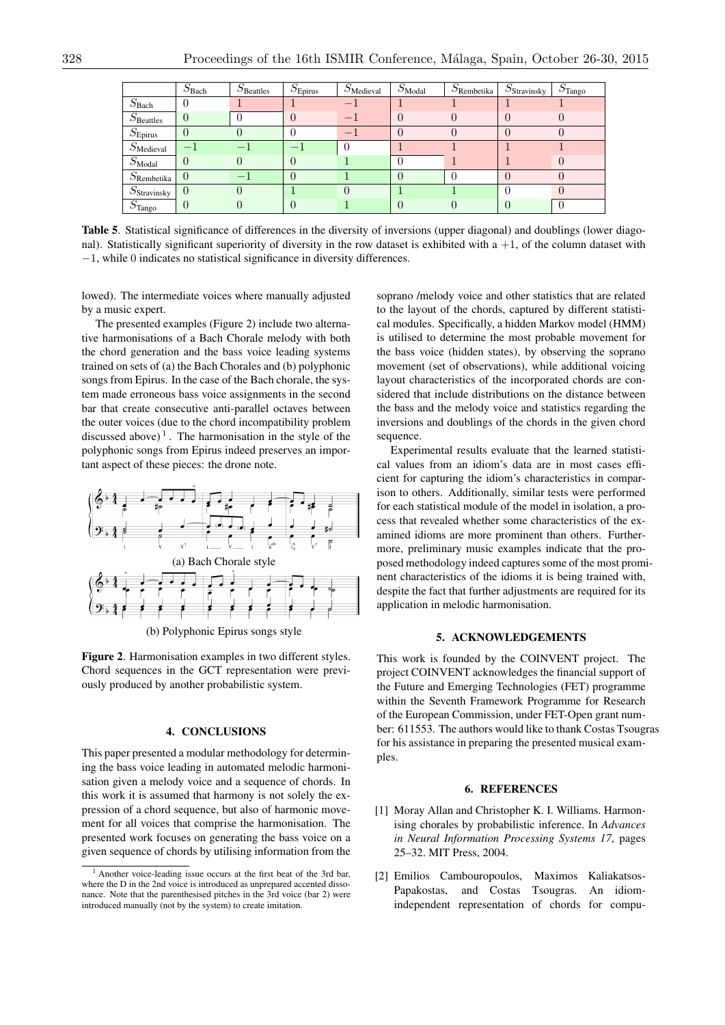|                         | $S_{\text{Bach}}$ | $S_{\rm Beatles}$              | $S_{\text{Epirus}}$      | $S_{\text{Medieval}}$ | $S_{\text{Modal}}$ | $S_{\text{Rembetika}}$ | $S_{\text{Stravinsky}}$ | $\overline{S}_{\text{Tango}}$ |
|-------------------------|-------------------|--------------------------------|--------------------------|-----------------------|--------------------|------------------------|-------------------------|-------------------------------|
| $S_{\rm Bach}$          | $\theta$          |                                |                          |                       |                    |                        |                         |                               |
| $S_{\rm Beatles}$       | $\theta$          | $\theta$                       |                          | —                     | $\theta$           | $\theta$               |                         | $\theta$                      |
| $S_{\text{Epirus}}$     | $\theta$          | $\theta$                       |                          | —                     | $\theta$           | $\theta$               |                         | $\overline{0}$                |
| $S_{\text{Medieval}}$   | $-1$              | $\qquad \qquad \longleftarrow$ | $\overline{\phantom{0}}$ |                       |                    |                        |                         |                               |
| $S_{\rm{Modal}}$        | $\theta$          | $\theta$                       |                          |                       |                    |                        |                         | $\overline{0}$                |
| $S_{\text{Rembetika}}$  | $\theta$          | $\qquad \qquad \longleftarrow$ |                          |                       | $\theta$           |                        |                         | $\overline{0}$                |
| $S_{\text{Stravinsky}}$ | $\overline{0}$    | $\theta$                       |                          | $\left( \right)$      |                    |                        | O                       | $\overline{0}$                |
| $S_{\text{Tango}}$      | $\overline{0}$    | $\theta$                       |                          |                       |                    | $\theta$               |                         | $\theta$                      |

Table 5. Statistical significance of differences in the diversity of inversions (upper diagonal) and doublings (lower diagonal). Statistically significant superiority of diversity in the row dataset is exhibited with  $a + 1$ , of the column dataset with  $-1$ , while 0 indicates no statistical significance in diversity differences.

lowed). The intermediate voices where manually adjusted by a music expert.

The presented examples (Figure 2) include two alternative harmonisations of a Bach Chorale melody with both the chord generation and the bass voice leading systems trained on sets of (a) the Bach Chorales and (b) polyphonic songs from Epirus. In the case of the Bach chorale, the system made erroneous bass voice assignments in the second bar that create consecutive anti-parallel octaves between the outer voices (due to the chord incompatibility problem discussed above)<sup>1</sup>. The harmonisation in the style of the polyphonic songs from Epirus indeed preserves an important aspect of these pieces: the drone note.



(b) Polyphonic Epirus songs style

Figure 2. Harmonisation examples in two different styles. Chord sequences in the GCT representation were previously produced by another probabilistic system.

# 4. CONCLUSIONS

This paper presented a modular methodology for determining the bass voice leading in automated melodic harmonisation given a melody voice and a sequence of chords. In this work it is assumed that harmony is not solely the expression of a chord sequence, but also of harmonic movement for all voices that comprise the harmonisation. The presented work focuses on generating the bass voice on a given sequence of chords by utilising information from the soprano /melody voice and other statistics that are related to the layout of the chords, captured by different statistical modules. Specifically, a hidden Markov model (HMM) is utilised to determine the most probable movement for the bass voice (hidden states), by observing the soprano movement (set of observations), while additional voicing layout characteristics of the incorporated chords are considered that include distributions on the distance between the bass and the melody voice and statistics regarding the inversions and doublings of the chords in the given chord sequence.

Experimental results evaluate that the learned statistical values from an idiom's data are in most cases efficient for capturing the idiom's characteristics in comparison to others. Additionally, similar tests were performed for each statistical module of the model in isolation, a process that revealed whether some characteristics of the examined idioms are more prominent than others. Furthermore, preliminary music examples indicate that the proposed methodology indeed captures some of the most prominent characteristics of the idioms it is being trained with, despite the fact that further adjustments are required for its application in melodic harmonisation.

# 5. ACKNOWLEDGEMENTS

This work is founded by the COINVENT project. The project COINVENT acknowledges the financial support of the Future and Emerging Technologies (FET) programme within the Seventh Framework Programme for Research of the European Commission, under FET-Open grant number: 611553. The authors would like to thank Costas Tsougras for his assistance in preparing the presented musical examples.

### 6. REFERENCES

- [1] Moray Allan and Christopher K. I. Williams. Harmonising chorales by probabilistic inference. In *Advances in Neural Information Processing Systems 17*, pages 25–32. MIT Press, 2004.
- [2] Emilios Cambouropoulos, Maximos Kaliakatsos-Papakostas, and Costas Tsougras. An idiomindependent representation of chords for compu-

<sup>&</sup>lt;sup>1</sup> Another voice-leading issue occurs at the first beat of the 3rd bar, where the D in the 2nd voice is introduced as unprepared accented dissonance. Note that the parenthesised pitches in the 3rd voice (bar 2) were introduced manually (not by the system) to create imitation.